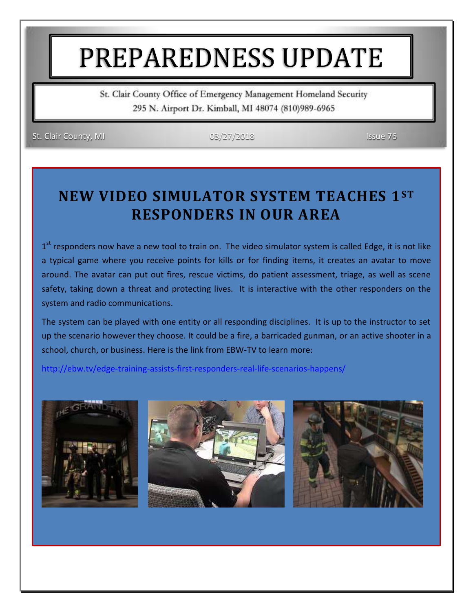# PREPAREDNESS UPDATE

St. Clair County Office of Emergency Management Homeland Security 295 N. Airport Dr. Kimball, MI 48074 (810)989-6965

St. Clair County, MI 03/27/2018 Issue 76

#### **NEW VIDEO SIMULATOR SYSTEM TEACHES 1ST RESPONDERS IN OUR AREA**

1<sup>st</sup> responders now have a new tool to train on. The video simulator system is called Edge, it is not like a typical game where you receive points for kills or for finding items, it creates an avatar to move around. The avatar can put out fires, rescue victims, do patient assessment, triage, as well as scene safety, taking down a threat and protecting lives. It is interactive with the other responders on the system and radio communications.

The system can be played with one entity or all responding disciplines. It is up to the instructor to set up the scenario however they choose. It could be a fire, a barricaded gunman, or an active shooter in a school, church, or business. Here is the link from EBW-TV to learn more:

<http://ebw.tv/edge-training-assists-first-responders-real-life-scenarios-happens/>





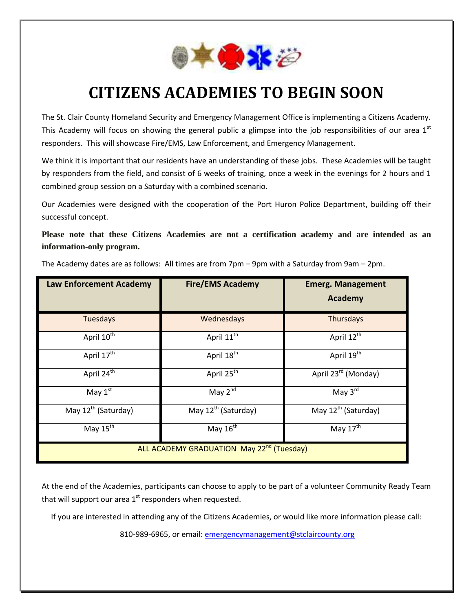

## **CITIZENS ACADEMIES TO BEGIN SOON**

The St. Clair County Homeland Security and Emergency Management Office is implementing a Citizens Academy. This Academy will focus on showing the general public a glimpse into the job responsibilities of our area  $1<sup>st</sup>$ responders. This will showcase Fire/EMS, Law Enforcement, and Emergency Management.

We think it is important that our residents have an understanding of these jobs. These Academies will be taught by responders from the field, and consist of 6 weeks of training, once a week in the evenings for 2 hours and 1 combined group session on a Saturday with a combined scenario.

Our Academies were designed with the cooperation of the Port Huron Police Department, building off their successful concept.

**Please note that these Citizens Academies are not a certification academy and are intended as an information-only program.**

| <b>Law Enforcement Academy</b>                        | <b>Fire/EMS Academy</b>         | <b>Emerg. Management</b><br>Academy |
|-------------------------------------------------------|---------------------------------|-------------------------------------|
| <b>Tuesdays</b>                                       | Wednesdays                      | Thursdays                           |
| April 10 <sup>th</sup>                                | April 11 <sup>th</sup>          | April 12 <sup>th</sup>              |
| April 17 <sup>th</sup>                                | April 18 <sup>th</sup>          | April 19 <sup>th</sup>              |
| April 24 <sup>th</sup>                                | April 25 <sup>th</sup>          | April 23 <sup>rd</sup> (Monday)     |
| May $1st$                                             | May $2^{n\overline{d}}$         | May $3^{\text{rd}}$                 |
| May 12 <sup>th</sup> (Saturday)                       | May 12 <sup>th</sup> (Saturday) | May 12 <sup>th</sup> (Saturday)     |
| May $15^{\overline{th}}$                              | May 16 <sup>th</sup>            | May $17^{\overline{th}}$            |
| ALL ACADEMY GRADUATION May 22 <sup>nd</sup> (Tuesday) |                                 |                                     |

The Academy dates are as follows: All times are from 7pm – 9pm with a Saturday from 9am – 2pm.

At the end of the Academies, participants can choose to apply to be part of a volunteer Community Ready Team that will support our area  $1<sup>st</sup>$  responders when requested.

If you are interested in attending any of the Citizens Academies, or would like more information please call:

810-989-6965, or email: [emergencymanagement@stclaircounty.org](mailto:emergencymanagement@stclaircounty.org)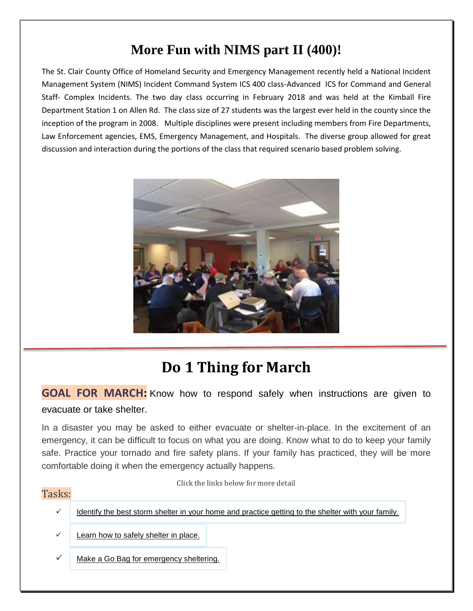#### **More Fun with NIMS part II (400)!**

The St. Clair County Office of Homeland Security and Emergency Management recently held a National Incident Management System (NIMS) Incident Command System ICS 400 class-Advanced ICS for Command and General Staff- Complex Incidents. The two day class occurring in February 2018 and was held at the Kimball Fire Department Station 1 on Allen Rd. The class size of 27 students was the largest ever held in the county since the inception of the program in 2008. Multiple disciplines were present including members from Fire Departments, Law Enforcement agencies, EMS, Emergency Management, and Hospitals. The diverse group allowed for great discussion and interaction during the portions of the class that required scenario based problem solving.



### **Do 1 Thing for March**

**GOAL FOR MARCH:** Know how to respond safely when instructions are given to evacuate or take shelter.

In a disaster you may be asked to either evacuate or shelter-in-place. In the excitement of an emergency, it can be difficult to focus on what you are doing. Know what to do to keep your family safe. Practice your tornado and fire safety plans. If your family has practiced, they will be more comfortable doing it when the emergency actually happens.

Click the links below for more detail

#### Tasks:

- Identify the best storm shelter in your home and [practice](http://do1thing.com/tasks/storm-shelter) getting to the shelter with your family.
- Learn how to safely [shelter](http://do1thing.com/tasks/shelter-in-place) in place.
- Make a Go Bag for [emergency](http://do1thing.com/tasks/go-bag) sheltering.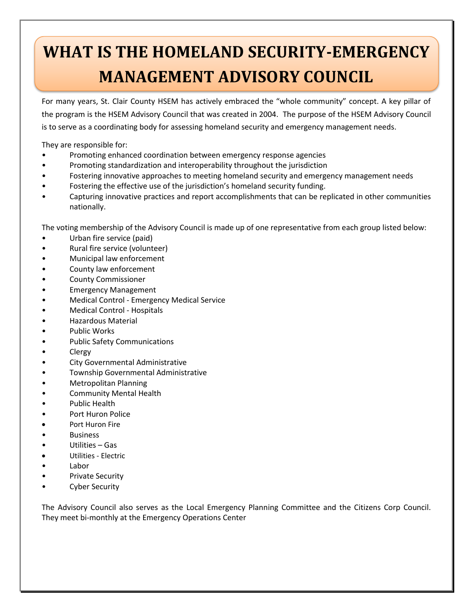## **WHAT IS THE HOMELAND SECURITY-EMERGENCY MANAGEMENT ADVISORY COUNCIL**

For many years, St. Clair County HSEM has actively embraced the "whole community" concept. A key pillar of the program is the HSEM Advisory Council that was created in 2004. The purpose of the HSEM Advisory Council is to serve as a coordinating body for assessing homeland security and emergency management needs.

They are responsible for:

- Promoting enhanced coordination between emergency response agencies
- Promoting standardization and interoperability throughout the jurisdiction
- Fostering innovative approaches to meeting homeland security and emergency management needs
- Fostering the effective use of the jurisdiction's homeland security funding.
- Capturing innovative practices and report accomplishments that can be replicated in other communities nationally.

The voting membership of the Advisory Council is made up of one representative from each group listed below:

- Urban fire service (paid)
- Rural fire service (volunteer)
- Municipal law enforcement
- County law enforcement
- County Commissioner
- Emergency Management
- Medical Control Emergency Medical Service
- Medical Control Hospitals
- Hazardous Material
- Public Works
- Public Safety Communications
- Clergy
- City Governmental Administrative
- Township Governmental Administrative
- Metropolitan Planning
- Community Mental Health
- Public Health
- Port Huron Police
- Port Huron Fire
- **Business**
- Utilities Gas
- Utilities Electric
- Labor
- Private Security
- Cyber Security

The Advisory Council also serves as the Local Emergency Planning Committee and the Citizens Corp Council. They meet bi-monthly at the Emergency Operations Center